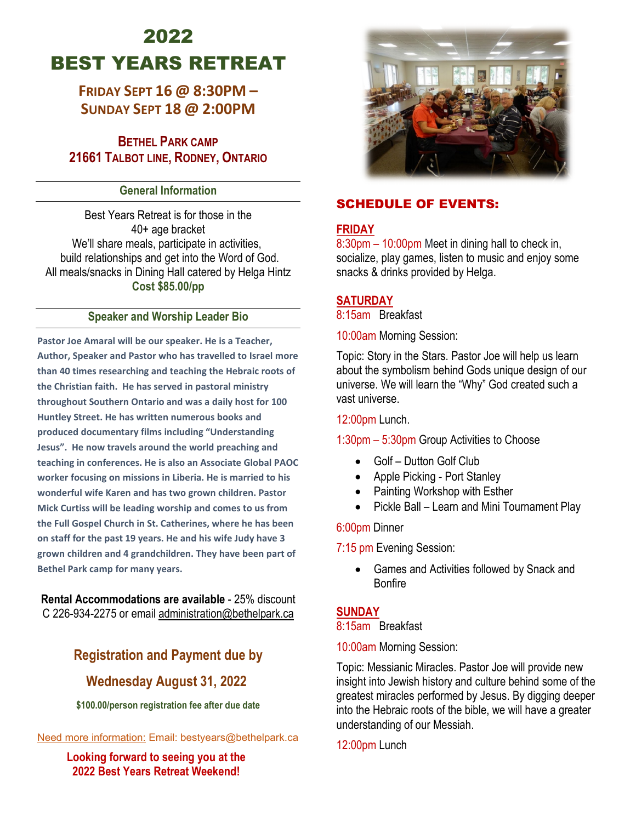# 2022 BEST YEARS RETREAT

# **FRIDAY SEPT 16 @ 8:30PM – SUNDAY SEPT 18 @ 2:00PM**

**BETHEL PARK CAMP 21661 TALBOT LINE, RODNEY, ONTARIO**

#### **General Information**

Best Years Retreat is for those in the 40+ age bracket We'll share meals, participate in activities, build relationships and get into the Word of God. All meals/snacks in Dining Hall catered by Helga Hintz **Cost \$85.00/pp**

#### **Speaker and Worship Leader Bio**

**Pastor Joe Amaral will be our speaker. He is a Teacher, Author, Speaker and Pastor who has travelled to Israel more than 40 times researching and teaching the Hebraic roots of the Christian faith. He has served in pastoral ministry throughout Southern Ontario and was a daily host for 100 Huntley Street. He has written numerous books and produced documentary films including "Understanding Jesus". He now travels around the world preaching and teaching in conferences. He is also an Associate Global PAOC worker focusing on missions in Liberia. He is married to his wonderful wife Karen and has two grown children. Pastor Mick Curtiss will be leading worship and comes to us from the Full Gospel Church in St. Catherines, where he has been on staff for the past 19 years. He and his wife Judy have 3 grown children and 4 grandchildren. They have been part of Bethel Park camp for many years.** 

**Rental Accommodations are available** - 25% discount C 226-934-2275 or emai[l administration@bethelpark.ca](mailto:administration@bethelpark.ca)

# **Registration and Payment due by**

## **Wednesday August 31, 2022**

**\$100.00/person registration fee after due date** 

Need more information: Email: bestyears@bethelpark.ca

**Looking forward to seeing you at the 2022 Best Years Retreat Weekend!**



## SCHEDULE OF EVENTS:

## **FRIDAY**

8:30pm – 10:00pm Meet in dining hall to check in, socialize, play games, listen to music and enjoy some snacks & drinks provided by Helga.

#### **SATURDAY**

8:15am Breakfast

10:00am Morning Session:

Topic: Story in the Stars. Pastor Joe will help us learn about the symbolism behind Gods unique design of our universe. We will learn the "Why" God created such a vast universe.

12:00pm Lunch.

#### 1:30pm – 5:30pm Group Activities to Choose

- Golf Dutton Golf Club
- Apple Picking Port Stanley
- Painting Workshop with Esther
- Pickle Ball Learn and Mini Tournament Play

#### 6:00pm Dinner

7:15 pm Evening Session:

• Games and Activities followed by Snack and Bonfire

### **SUNDAY**

#### 8:15am Breakfast

10:00am Morning Session:

Topic: Messianic Miracles. Pastor Joe will provide new insight into Jewish history and culture behind some of the greatest miracles performed by Jesus. By digging deeper into the Hebraic roots of the bible, we will have a greater understanding of our Messiah.

12:00pm Lunch